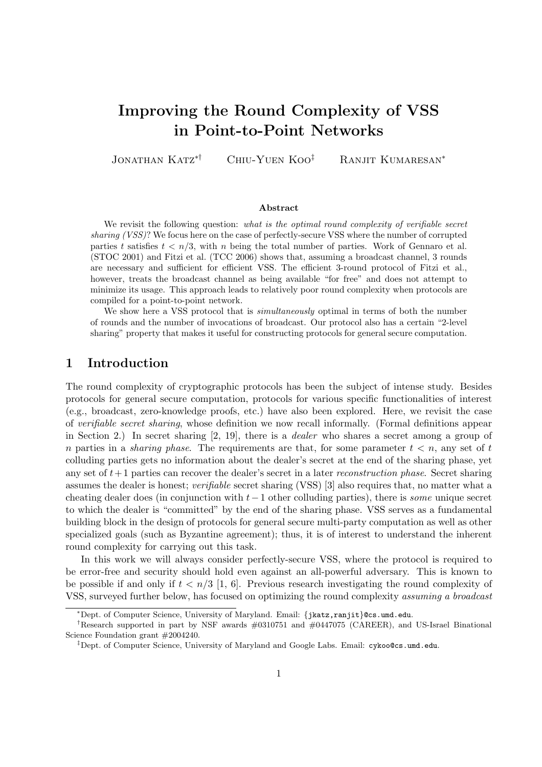# Improving the Round Complexity of VSS in Point-to-Point Networks

JONATHAN KATZ<sup>\*†</sup> CHIU-YUEN KOO<sup>‡</sup> RANJIT KUMARESAN<sup>\*</sup>

#### Abstract

We revisit the following question: what is the optimal round complexity of verifiable secret sharing (VSS)? We focus here on the case of perfectly-secure VSS where the number of corrupted parties t satisfies  $t < n/3$ , with n being the total number of parties. Work of Gennaro et al. (STOC 2001) and Fitzi et al. (TCC 2006) shows that, assuming a broadcast channel, 3 rounds are necessary and sufficient for efficient VSS. The efficient 3-round protocol of Fitzi et al., however, treats the broadcast channel as being available "for free" and does not attempt to minimize its usage. This approach leads to relatively poor round complexity when protocols are compiled for a point-to-point network.

We show here a VSS protocol that is *simultaneously* optimal in terms of both the number of rounds and the number of invocations of broadcast. Our protocol also has a certain "2-level sharing" property that makes it useful for constructing protocols for general secure computation.

## 1 Introduction

The round complexity of cryptographic protocols has been the subject of intense study. Besides protocols for general secure computation, protocols for various specific functionalities of interest (e.g., broadcast, zero-knowledge proofs, etc.) have also been explored. Here, we revisit the case of verifiable secret sharing, whose definition we now recall informally. (Formal definitions appear in Section 2.) In secret sharing [2, 19], there is a dealer who shares a secret among a group of n parties in a *sharing phase*. The requirements are that, for some parameter  $t < n$ , any set of t colluding parties gets no information about the dealer's secret at the end of the sharing phase, yet any set of  $t+1$  parties can recover the dealer's secret in a later *reconstruction phase*. Secret sharing assumes the dealer is honest; verifiable secret sharing (VSS) [3] also requires that, no matter what a cheating dealer does (in conjunction with  $t-1$  other colluding parties), there is *some* unique secret to which the dealer is "committed" by the end of the sharing phase. VSS serves as a fundamental building block in the design of protocols for general secure multi-party computation as well as other specialized goals (such as Byzantine agreement); thus, it is of interest to understand the inherent round complexity for carrying out this task.

In this work we will always consider perfectly-secure VSS, where the protocol is required to be error-free and security should hold even against an all-powerful adversary. This is known to be possible if and only if  $t < n/3$  [1, 6]. Previous research investigating the round complexity of VSS, surveyed further below, has focused on optimizing the round complexity assuming a broadcast

<sup>∗</sup>Dept. of Computer Science, University of Maryland. Email: {jkatz,ranjit}@cs.umd.edu.

<sup>†</sup>Research supported in part by NSF awards #0310751 and #0447075 (CAREER), and US-Israel Binational Science Foundation grant #2004240.

<sup>‡</sup>Dept. of Computer Science, University of Maryland and Google Labs. Email: cykoo@cs.umd.edu.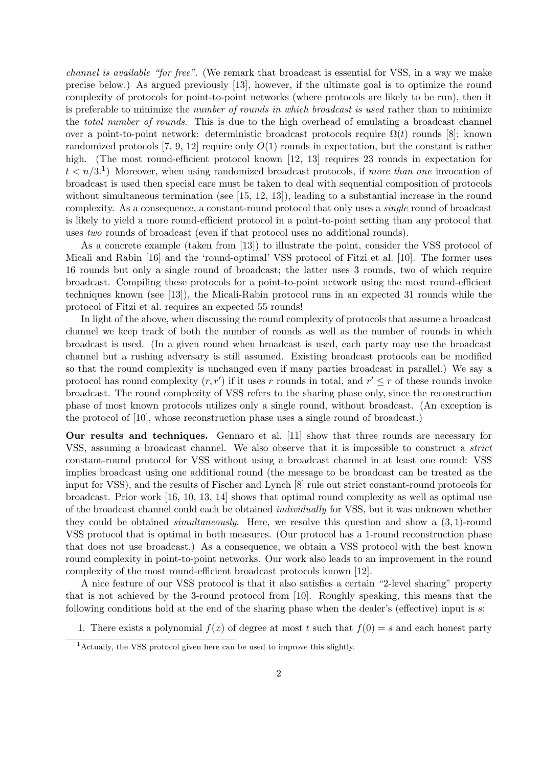channel is available "for free". (We remark that broadcast is essential for VSS, in a way we make precise below.) As argued previously [13], however, if the ultimate goal is to optimize the round complexity of protocols for point-to-point networks (where protocols are likely to be run), then it is preferable to minimize the number of rounds in which broadcast is used rather than to minimize the total number of rounds. This is due to the high overhead of emulating a broadcast channel over a point-to-point network: deterministic broadcast protocols require  $\Omega(t)$  rounds [8]; known randomized protocols [7, 9, 12] require only  $O(1)$  rounds in expectation, but the constant is rather high. (The most round-efficient protocol known [12, 13] requires 23 rounds in expectation for  $t \leq n/3$ <sup>1</sup>) Moreover, when using randomized broadcast protocols, if more than one invocation of broadcast is used then special care must be taken to deal with sequential composition of protocols without simultaneous termination (see [15, 12, 13]), leading to a substantial increase in the round complexity. As a consequence, a constant-round protocol that only uses a single round of broadcast is likely to yield a more round-efficient protocol in a point-to-point setting than any protocol that uses two rounds of broadcast (even if that protocol uses no additional rounds).

As a concrete example (taken from [13]) to illustrate the point, consider the VSS protocol of Micali and Rabin [16] and the 'round-optimal' VSS protocol of Fitzi et al. [10]. The former uses 16 rounds but only a single round of broadcast; the latter uses 3 rounds, two of which require broadcast. Compiling these protocols for a point-to-point network using the most round-efficient techniques known (see [13]), the Micali-Rabin protocol runs in an expected 31 rounds while the protocol of Fitzi et al. requires an expected 55 rounds!

In light of the above, when discussing the round complexity of protocols that assume a broadcast channel we keep track of both the number of rounds as well as the number of rounds in which broadcast is used. (In a given round when broadcast is used, each party may use the broadcast channel but a rushing adversary is still assumed. Existing broadcast protocols can be modified so that the round complexity is unchanged even if many parties broadcast in parallel.) We say a protocol has round complexity  $(r, r')$  if it uses r rounds in total, and  $r' \leq r$  of these rounds invoke broadcast. The round complexity of VSS refers to the sharing phase only, since the reconstruction phase of most known protocols utilizes only a single round, without broadcast. (An exception is the protocol of [10], whose reconstruction phase uses a single round of broadcast.)

Our results and techniques. Gennaro et al. [11] show that three rounds are necessary for VSS, assuming a broadcast channel. We also observe that it is impossible to construct a strict constant-round protocol for VSS without using a broadcast channel in at least one round: VSS implies broadcast using one additional round (the message to be broadcast can be treated as the input for VSS), and the results of Fischer and Lynch [8] rule out strict constant-round protocols for broadcast. Prior work [16, 10, 13, 14] shows that optimal round complexity as well as optimal use of the broadcast channel could each be obtained individually for VSS, but it was unknown whether they could be obtained *simultaneously*. Here, we resolve this question and show a  $(3, 1)$ -round VSS protocol that is optimal in both measures. (Our protocol has a 1-round reconstruction phase that does not use broadcast.) As a consequence, we obtain a VSS protocol with the best known round complexity in point-to-point networks. Our work also leads to an improvement in the round complexity of the most round-efficient broadcast protocols known [12].

A nice feature of our VSS protocol is that it also satisfies a certain "2-level sharing" property that is not achieved by the 3-round protocol from [10]. Roughly speaking, this means that the following conditions hold at the end of the sharing phase when the dealer's (effective) input is s:

1. There exists a polynomial  $f(x)$  of degree at most t such that  $f(0) = s$  and each honest party

<sup>&</sup>lt;sup>1</sup>Actually, the VSS protocol given here can be used to improve this slightly.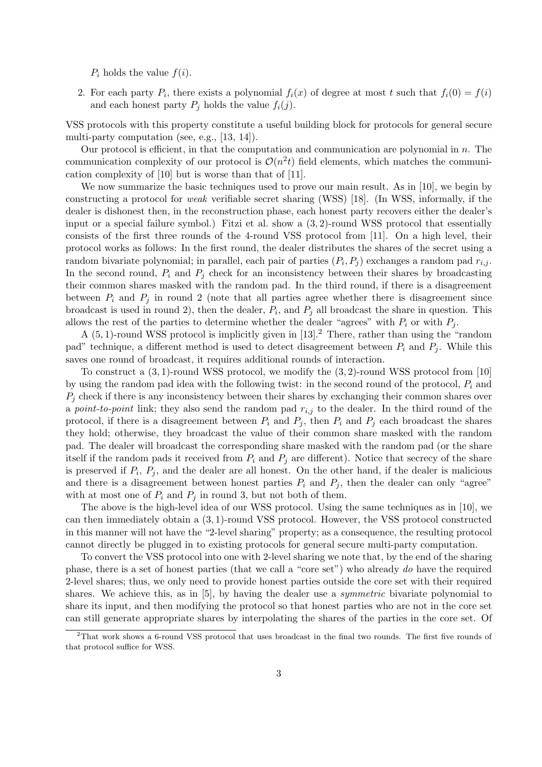$P_i$  holds the value  $f(i)$ .

2. For each party  $P_i$ , there exists a polynomial  $f_i(x)$  of degree at most t such that  $f_i(0) = f(i)$ and each honest party  $P_i$  holds the value  $f_i(j)$ .

VSS protocols with this property constitute a useful building block for protocols for general secure multi-party computation (see, e.g., [13, 14]).

Our protocol is efficient, in that the computation and communication are polynomial in  $n$ . The communication complexity of our protocol is  $\mathcal{O}(n^2t)$  field elements, which matches the communication complexity of [10] but is worse than that of [11].

We now summarize the basic techniques used to prove our main result. As in [10], we begin by constructing a protocol for weak verifiable secret sharing (WSS) [18]. (In WSS, informally, if the dealer is dishonest then, in the reconstruction phase, each honest party recovers either the dealer's input or a special failure symbol.) Fitzi et al. show a (3, 2)-round WSS protocol that essentially consists of the first three rounds of the 4-round VSS protocol from [11]. On a high level, their protocol works as follows: In the first round, the dealer distributes the shares of the secret using a random bivariate polynomial; in parallel, each pair of parties  $(P_i, P_j)$  exchanges a random pad  $r_{i,j}$ . In the second round,  $P_i$  and  $P_j$  check for an inconsistency between their shares by broadcasting their common shares masked with the random pad. In the third round, if there is a disagreement between  $P_i$  and  $P_j$  in round 2 (note that all parties agree whether there is disagreement since broadcast is used in round 2), then the dealer,  $P_i$ , and  $P_j$  all broadcast the share in question. This allows the rest of the parties to determine whether the dealer "agrees" with  $P_i$  or with  $P_j$ .

A  $(5, 1)$ -round WSS protocol is implicitly given in [13].<sup>2</sup> There, rather than using the "random" pad" technique, a different method is used to detect disagreement between  $P_i$  and  $P_j$ . While this saves one round of broadcast, it requires additional rounds of interaction.

To construct a  $(3, 1)$ -round WSS protocol, we modify the  $(3, 2)$ -round WSS protocol from [10] by using the random pad idea with the following twist: in the second round of the protocol,  $P_i$  and  $P_i$  check if there is any inconsistency between their shares by exchanging their common shares over a point-to-point link; they also send the random pad  $r_{i,j}$  to the dealer. In the third round of the protocol, if there is a disagreement between  $P_i$  and  $P_j$ , then  $P_i$  and  $P_j$  each broadcast the shares they hold; otherwise, they broadcast the value of their common share masked with the random pad. The dealer will broadcast the corresponding share masked with the random pad (or the share itself if the random pads it received from  $P_i$  and  $P_j$  are different). Notice that secrecy of the share is preserved if  $P_i$ ,  $P_j$ , and the dealer are all honest. On the other hand, if the dealer is malicious and there is a disagreement between honest parties  $P_i$  and  $P_j$ , then the dealer can only "agree" with at most one of  $P_i$  and  $P_j$  in round 3, but not both of them.

The above is the high-level idea of our WSS protocol. Using the same techniques as in [10], we can then immediately obtain a (3, 1)-round VSS protocol. However, the VSS protocol constructed in this manner will not have the "2-level sharing" property; as a consequence, the resulting protocol cannot directly be plugged in to existing protocols for general secure multi-party computation.

To convert the VSS protocol into one with 2-level sharing we note that, by the end of the sharing phase, there is a set of honest parties (that we call a "core set") who already do have the required 2-level shares; thus, we only need to provide honest parties outside the core set with their required shares. We achieve this, as in [5], by having the dealer use a *symmetric* bivariate polynomial to share its input, and then modifying the protocol so that honest parties who are not in the core set can still generate appropriate shares by interpolating the shares of the parties in the core set. Of

<sup>2</sup>That work shows a 6-round VSS protocol that uses broadcast in the final two rounds. The first five rounds of that protocol suffice for WSS.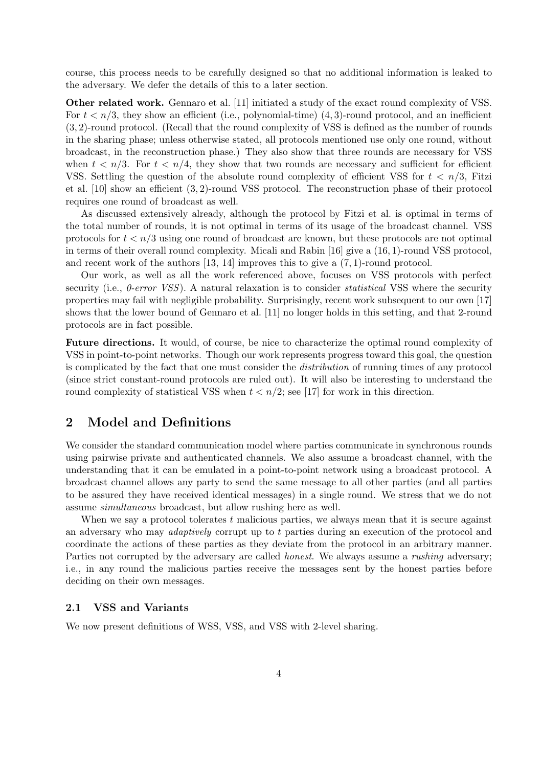course, this process needs to be carefully designed so that no additional information is leaked to the adversary. We defer the details of this to a later section.

Other related work. Gennaro et al. [11] initiated a study of the exact round complexity of VSS. For  $t < n/3$ , they show an efficient (i.e., polynomial-time) (4, 3)-round protocol, and an inefficient (3, 2)-round protocol. (Recall that the round complexity of VSS is defined as the number of rounds in the sharing phase; unless otherwise stated, all protocols mentioned use only one round, without broadcast, in the reconstruction phase.) They also show that three rounds are necessary for VSS when  $t < n/3$ . For  $t < n/4$ , they show that two rounds are necessary and sufficient for efficient VSS. Settling the question of the absolute round complexity of efficient VSS for  $t < n/3$ , Fitzi et al. [10] show an efficient (3, 2)-round VSS protocol. The reconstruction phase of their protocol requires one round of broadcast as well.

As discussed extensively already, although the protocol by Fitzi et al. is optimal in terms of the total number of rounds, it is not optimal in terms of its usage of the broadcast channel. VSS protocols for  $t < n/3$  using one round of broadcast are known, but these protocols are not optimal in terms of their overall round complexity. Micali and Rabin [16] give a (16, 1)-round VSS protocol, and recent work of the authors [13, 14] improves this to give a (7, 1)-round protocol.

Our work, as well as all the work referenced above, focuses on VSS protocols with perfect security (i.e.,  $0$ -error VSS). A natural relaxation is to consider *statistical* VSS where the security properties may fail with negligible probability. Surprisingly, recent work subsequent to our own [17] shows that the lower bound of Gennaro et al. [11] no longer holds in this setting, and that 2-round protocols are in fact possible.

Future directions. It would, of course, be nice to characterize the optimal round complexity of VSS in point-to-point networks. Though our work represents progress toward this goal, the question is complicated by the fact that one must consider the distribution of running times of any protocol (since strict constant-round protocols are ruled out). It will also be interesting to understand the round complexity of statistical VSS when  $t < n/2$ ; see [17] for work in this direction.

# 2 Model and Definitions

We consider the standard communication model where parties communicate in synchronous rounds using pairwise private and authenticated channels. We also assume a broadcast channel, with the understanding that it can be emulated in a point-to-point network using a broadcast protocol. A broadcast channel allows any party to send the same message to all other parties (and all parties to be assured they have received identical messages) in a single round. We stress that we do not assume simultaneous broadcast, but allow rushing here as well.

When we say a protocol tolerates  $t$  malicious parties, we always mean that it is secure against an adversary who may adaptively corrupt up to t parties during an execution of the protocol and coordinate the actions of these parties as they deviate from the protocol in an arbitrary manner. Parties not corrupted by the adversary are called *honest*. We always assume a *rushing* adversary; i.e., in any round the malicious parties receive the messages sent by the honest parties before deciding on their own messages.

### 2.1 VSS and Variants

We now present definitions of WSS, VSS, and VSS with 2-level sharing.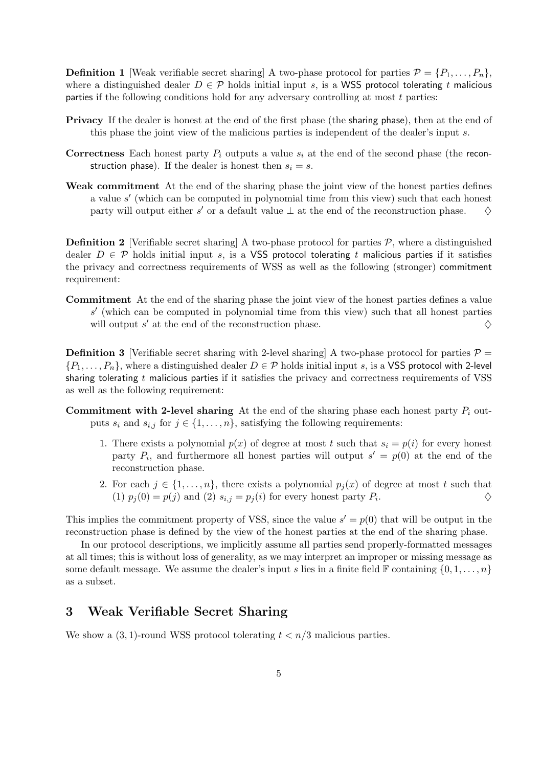**Definition 1** [Weak verifiable secret sharing] A two-phase protocol for parties  $\mathcal{P} = \{P_1, \ldots, P_n\}$ , where a distinguished dealer  $D \in \mathcal{P}$  holds initial input s, is a WSS protocol tolerating t malicious parties if the following conditions hold for any adversary controlling at most t parties:

- Privacy If the dealer is honest at the end of the first phase (the sharing phase), then at the end of this phase the joint view of the malicious parties is independent of the dealer's input s.
- **Correctness** Each honest party  $P_i$  outputs a value  $s_i$  at the end of the second phase (the reconstruction phase). If the dealer is honest then  $s_i = s$ .
- Weak commitment At the end of the sharing phase the joint view of the honest parties defines a value  $s'$  (which can be computed in polynomial time from this view) such that each honest party will output either s' or a default value  $\perp$  at the end of the reconstruction phase.  $\diamondsuit$

**Definition 2** [Verifiable secret sharing] A two-phase protocol for parties  $\mathcal{P}$ , where a distinguished dealer  $D \in \mathcal{P}$  holds initial input s, is a VSS protocol tolerating t malicious parties if it satisfies the privacy and correctness requirements of WSS as well as the following (stronger) commitment requirement:

Commitment At the end of the sharing phase the joint view of the honest parties defines a value  $s'$  (which can be computed in polynomial time from this view) such that all honest parties will output  $s'$  at the end of the reconstruction phase.  $\diamondsuit$ 

**Definition 3** [Verifiable secret sharing with 2-level sharing] A two-phase protocol for parties  $P =$  $\{P_1,\ldots,P_n\}$ , where a distinguished dealer  $D \in \mathcal{P}$  holds initial input s, is a VSS protocol with 2-level sharing tolerating  $t$  malicious parties if it satisfies the privacy and correctness requirements of VSS as well as the following requirement:

- **Commitment with 2-level sharing** At the end of the sharing phase each honest party  $P_i$  outputs  $s_i$  and  $s_{i,j}$  for  $j \in \{1, \ldots, n\}$ , satisfying the following requirements:
	- 1. There exists a polynomial  $p(x)$  of degree at most t such that  $s_i = p(i)$  for every honest party  $P_i$ , and furthermore all honest parties will output  $s' = p(0)$  at the end of the reconstruction phase.
	- 2. For each  $j \in \{1, \ldots, n\}$ , there exists a polynomial  $p_i(x)$  of degree at most t such that (1)  $p_i(0) = p(j)$  and (2)  $s_{i,j} = p_i(i)$  for every honest party  $P_i$ . . As we have the set of  $\Diamond$

This implies the commitment property of VSS, since the value  $s' = p(0)$  that will be output in the reconstruction phase is defined by the view of the honest parties at the end of the sharing phase.

In our protocol descriptions, we implicitly assume all parties send properly-formatted messages at all times; this is without loss of generality, as we may interpret an improper or missing message as some default message. We assume the dealer's input s lies in a finite field  $\mathbb F$  containing  $\{0, 1, \ldots, n\}$ as a subset.

# 3 Weak Verifiable Secret Sharing

We show a  $(3, 1)$ -round WSS protocol tolerating  $t < n/3$  malicious parties.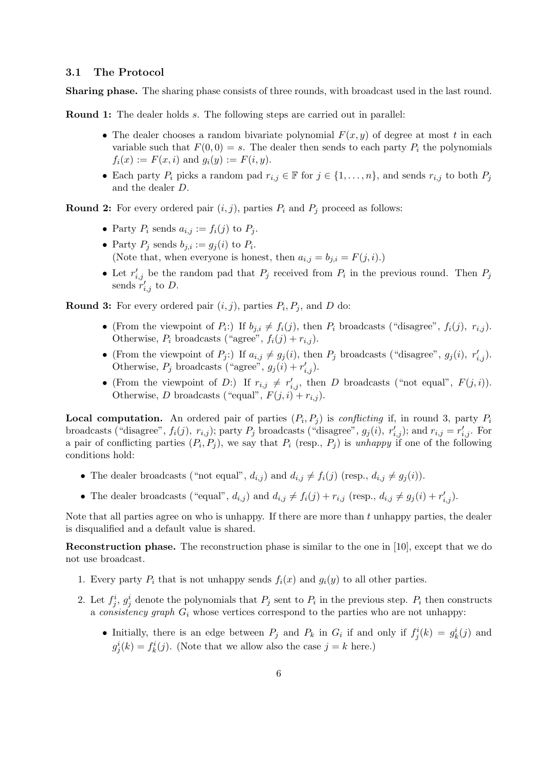### 3.1 The Protocol

Sharing phase. The sharing phase consists of three rounds, with broadcast used in the last round.

Round 1: The dealer holds s. The following steps are carried out in parallel:

- The dealer chooses a random bivariate polynomial  $F(x, y)$  of degree at most t in each variable such that  $F(0, 0) = s$ . The dealer then sends to each party  $P_i$  the polynomials  $f_i(x) := F(x, i)$  and  $q_i(y) := F(i, y)$ .
- Each party  $P_i$  picks a random pad  $r_{i,j} \in \mathbb{F}$  for  $j \in \{1, \ldots, n\}$ , and sends  $r_{i,j}$  to both  $P_j$ and the dealer D.

**Round 2:** For every ordered pair  $(i, j)$ , parties  $P_i$  and  $P_j$  proceed as follows:

- Party  $P_i$  sends  $a_{i,j} := f_i(j)$  to  $P_j$ .
- Party  $P_j$  sends  $b_{j,i} := g_j(i)$  to  $P_i$ . (Note that, when everyone is honest, then  $a_{i,j} = b_{j,i} = F(j,i)$ .)
- Let  $r'_{i,j}$  be the random pad that  $P_j$  received from  $P_i$  in the previous round. Then  $P_j$ sends  $r'_{i,j}$  to D.

**Round 3:** For every ordered pair  $(i, j)$ , parties  $P_i, P_j$ , and D do:

- (From the viewpoint of  $P_i$ :) If  $b_{j,i} \neq f_i(j)$ , then  $P_i$  broadcasts ("disagree",  $f_i(j)$ ,  $r_{i,j}$ ). Otherwise,  $P_i$  broadcasts ("agree",  $f_i(j) + r_{i,j}$ ).
- (From the viewpoint of  $P_j$ :) If  $a_{i,j} \neq g_j(i)$ , then  $P_j$  broadcasts ("disagree",  $g_j(i)$ ,  $r'_{i,j}$ ). Otherwise,  $P_j$  broadcasts ("agree",  $g_j(i) + r'_{i,j}$ ).
- (From the viewpoint of D:) If  $r_{i,j} \neq r'_{i,j}$ , then D broadcasts ("not equal",  $F(j,i)$ ). Otherwise, D broadcasts ("equal",  $F(j, i) + r_{i,j}$ ).

**Local computation.** An ordered pair of parties  $(P_i, P_j)$  is *conflicting* if, in round 3, party  $P_i$ broadcasts ("disagree",  $f_i(j)$ ,  $r_{i,j}$ ); party  $P_j$  broadcasts ("disagree",  $g_j(i)$ ,  $r'_{i,j}$ ); and  $r_{i,j} = r'_{i,j}$ . For a pair of conflicting parties  $(P_i, P_j)$ , we say that  $P_i$  (resp.,  $P_j$ ) is unhappy if one of the following conditions hold:

- The dealer broadcasts ("not equal",  $d_{i,j}$ ) and  $d_{i,j} \neq f_i(j)$  (resp.,  $d_{i,j} \neq g_i(i)$ ).
- The dealer broadcasts ("equal",  $d_{i,j}$ ) and  $d_{i,j} \neq f_i(j) + r_{i,j}$  (resp.,  $d_{i,j} \neq g_j(i) + r'_{i,j}$ ).

Note that all parties agree on who is unhappy. If there are more than  $t$  unhappy parties, the dealer is disqualified and a default value is shared.

Reconstruction phase. The reconstruction phase is similar to the one in [10], except that we do not use broadcast.

- 1. Every party  $P_i$  that is not unhappy sends  $f_i(x)$  and  $g_i(y)$  to all other parties.
- 2. Let  $f_j^i$ ,  $g_j^i$  denote the polynomials that  $P_j$  sent to  $P_i$  in the previous step.  $P_i$  then constructs a consistency graph  $G_i$  whose vertices correspond to the parties who are not unhappy:
	- Initially, there is an edge between  $P_j$  and  $P_k$  in  $G_i$  if and only if  $f_j^i(k) = g_k^i(j)$  and  $g_j^i(k) = f_k^i(j)$ . (Note that we allow also the case  $j = k$  here.)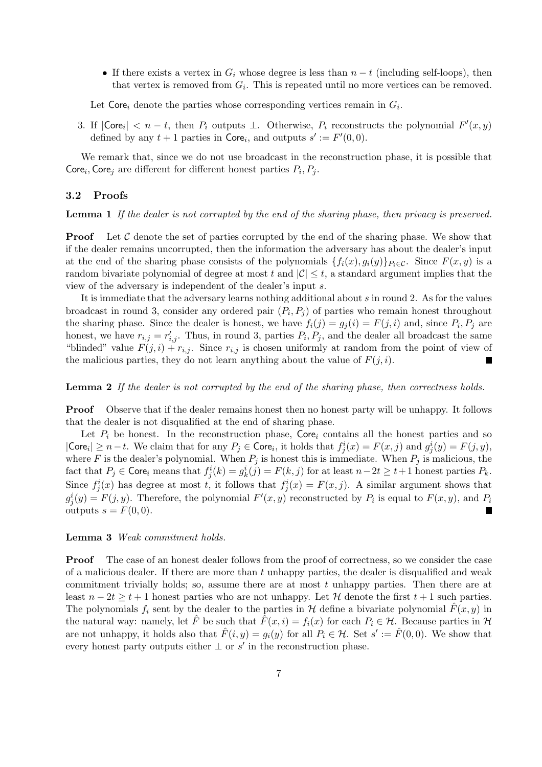• If there exists a vertex in  $G_i$  whose degree is less than  $n - t$  (including self-loops), then that vertex is removed from  $G_i$ . This is repeated until no more vertices can be removed.

Let Core<sub>i</sub> denote the parties whose corresponding vertices remain in  $G_i$ .

3. If  $|\text{Core}_i| < n - t$ , then  $P_i$  outputs  $\perp$ . Otherwise,  $P_i$  reconstructs the polynomial  $F'(x, y)$ defined by any  $t + 1$  parties in Core<sub>i</sub>, and outputs  $s' := F'(0,0)$ .

We remark that, since we do not use broadcast in the reconstruction phase, it is possible that Core<sub>i</sub>, Core<sub>j</sub> are different for different honest parties  $P_i, P_j$ .

## 3.2 Proofs

Lemma 1 If the dealer is not corrupted by the end of the sharing phase, then privacy is preserved.

**Proof** Let C denote the set of parties corrupted by the end of the sharing phase. We show that if the dealer remains uncorrupted, then the information the adversary has about the dealer's input at the end of the sharing phase consists of the polynomials  $\{f_i(x), g_i(y)\}_{P_i \in \mathcal{C}}$ . Since  $F(x, y)$  is a random bivariate polynomial of degree at most t and  $|\mathcal{C}| \leq t$ , a standard argument implies that the view of the adversary is independent of the dealer's input s.

It is immediate that the adversary learns nothing additional about s in round 2. As for the values broadcast in round 3, consider any ordered pair  $(P_i, P_j)$  of parties who remain honest throughout the sharing phase. Since the dealer is honest, we have  $f_i(j) = g_j(i) = F(j, i)$  and, since  $P_i, P_j$  are honest, we have  $r_{i,j} = r'_{i,j}$ . Thus, in round 3, parties  $P_i, P_j$ , and the dealer all broadcast the same "blinded" value  $F(j, i) + r_{i,j}$ . Since  $r_{i,j}$  is chosen uniformly at random from the point of view of the malicious parties, they do not learn anything about the value of  $F(j, i)$ .

Lemma 2 If the dealer is not corrupted by the end of the sharing phase, then correctness holds.

Proof Observe that if the dealer remains honest then no honest party will be unhappy. It follows that the dealer is not disqualified at the end of sharing phase.

Let  $P_i$  be honest. In the reconstruction phase, Core<sub>i</sub> contains all the honest parties and so  $|\mathsf{Core}_i| \ge n-t$ . We claim that for any  $P_j \in \mathsf{Core}_i$ , it holds that  $f_j^i(x) = F(x,j)$  and  $g_j^i(y) = F(j, y)$ , where F is the dealer's polynomial. When  $P_j$  is honest this is immediate. When  $P_j$  is malicious, the fact that  $P_j \in \text{Core}_i$  means that  $f_j^i(k) = g_k^i(j) = F(k, j)$  for at least  $n - 2t \geq t + 1$  honest parties  $P_k$ . Since  $f_j^i(x)$  has degree at most t, it follows that  $f_j^i(x) = F(x, j)$ . A similar argument shows that  $g_j^i(y) = F(j, y)$ . Therefore, the polynomial  $F'(x, y)$  reconstructed by  $P_i$  is equal to  $F(x, y)$ , and  $P_i$ outputs  $s = F(0, 0)$ .  $\overline{\phantom{a}}$ 

Lemma 3 Weak commitment holds.

Proof The case of an honest dealer follows from the proof of correctness, so we consider the case of a malicious dealer. If there are more than  $t$  unhappy parties, the dealer is disqualified and weak commitment trivially holds; so, assume there are at most  $t$  unhappy parties. Then there are at least  $n - 2t \geq t + 1$  honest parties who are not unhappy. Let H denote the first  $t + 1$  such parties. The polynomials  $f_i$  sent by the dealer to the parties in H define a bivariate polynomial  $\hat{F}(x, y)$  in the natural way: namely, let F be such that  $F(x, i) = f_i(x)$  for each  $P_i \in \mathcal{H}$ . Because parties in H are not unhappy, it holds also that  $\hat{F}(i, y) = g_i(y)$  for all  $P_i \in \mathcal{H}$ . Set  $s' := \hat{F}(0, 0)$ . We show that every honest party outputs either  $\perp$  or s' in the reconstruction phase.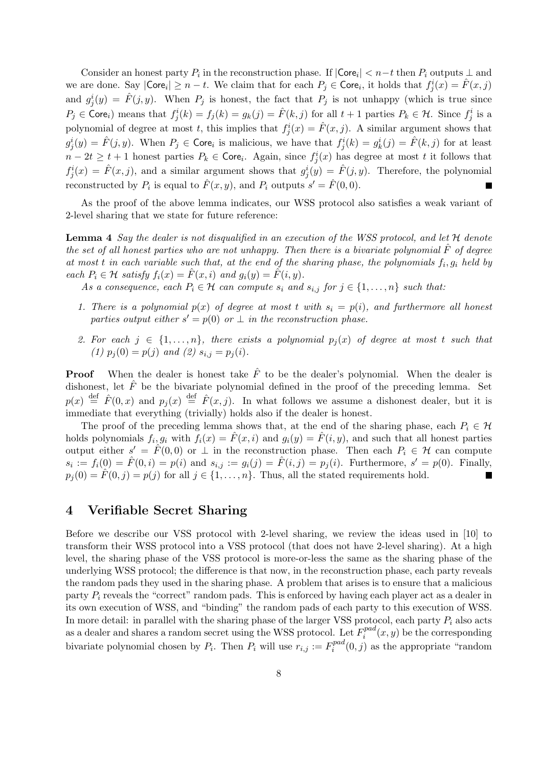Consider an honest party  $P_i$  in the reconstruction phase. If  $|\mathsf{Core}_i| < n-t$  then  $P_i$  outputs  $\perp$  and we are done. Say  $|\text{Core}_i| \ge n-t$ . We claim that for each  $P_j \in \text{Core}_i$ , it holds that  $f_j^i(x) = \hat{F}(x,j)$ and  $g_j^i(y) = \hat{F}(j, y)$ . When  $P_j$  is honest, the fact that  $P_j$  is not unhappy (which is true since  $P_j \in \text{Core}_i$ ) means that  $f_j^i(k) = f_j(k) = g_k(j) = \hat{F}(k, j)$  for all  $t + 1$  parties  $P_k \in \mathcal{H}$ . Since  $f_j^i$  is a polynomial of degree at most t, this implies that  $f_j^i(x) = \hat{F}(x, j)$ . A similar argument shows that  $g_j^i(y) = \hat{F}(j, y)$ . When  $P_j \in \text{Core}_i$  is malicious, we have that  $f_j^i(k) = g_k^i(j) = \hat{F}(k, j)$  for at least  $n-2t \geq t+1$  honest parties  $P_k \in \text{Core}_i$ . Again, since  $f_j^i(x)$  has degree at most t it follows that  $f_j^i(x) = \hat{F}(x, j)$ , and a similar argument shows that  $g_j^i(y) = \hat{F}(j, y)$ . Therefore, the polynomial reconstructed by  $P_i$  is equal to  $\hat{F}(x, y)$ , and  $P_i$  outputs  $s' = \hat{F}(0, 0)$ .

As the proof of the above lemma indicates, our WSS protocol also satisfies a weak variant of 2-level sharing that we state for future reference:

**Lemma 4** Say the dealer is not disqualified in an execution of the WSS protocol, and let  $H$  denote the set of all honest parties who are not unhappy. Then there is a bivariate polynomial  $\ddot{F}$  of degree at most t in each variable such that, at the end of the sharing phase, the polynomials  $f_i, g_i$  held by each  $P_i \in \mathcal{H}$  satisfy  $f_i(x) = \hat{F}(x, i)$  and  $g_i(y) = \hat{F}(i, y)$ .

As a consequence, each  $P_i \in \mathcal{H}$  can compute  $s_i$  and  $s_{i,j}$  for  $j \in \{1, \ldots, n\}$  such that:

- 1. There is a polynomial  $p(x)$  of degree at most t with  $s_i = p(i)$ , and furthermore all honest parties output either  $s' = p(0)$  or  $\perp$  in the reconstruction phase.
- 2. For each  $j \in \{1, \ldots, n\}$ , there exists a polynomial  $p_i(x)$  of degree at most t such that (1)  $p_i(0) = p(j)$  and (2)  $s_{i,j} = p_j(i)$ .

**Proof** When the dealer is honest take  $\hat{F}$  to be the dealer's polynomial. When the dealer is dishonest, let  $\hat{F}$  be the bivariate polynomial defined in the proof of the preceding lemma. Set  $p(x) \stackrel{\text{def}}{=} \hat{F}(0,x)$  and  $p_j(x) \stackrel{\text{def}}{=} \hat{F}(x,j)$ . In what follows we assume a dishonest dealer, but it is immediate that everything (trivially) holds also if the dealer is honest.

The proof of the preceding lemma shows that, at the end of the sharing phase, each  $P_i \in \mathcal{H}$ holds polynomials  $f_i, g_i$  with  $f_i(x) = \hat{F}(x, i)$  and  $g_i(y) = \hat{F}(i, y)$ , and such that all honest parties output either  $s' = \hat{F}(0,0)$  or  $\perp$  in the reconstruction phase. Then each  $P_i \in \mathcal{H}$  can compute  $s_i := f_i(0) = \hat{F}(0, i) = p(i)$  and  $s_{i,j} := g_i(j) = \hat{F}(i, j) = p_j(i)$ . Furthermore,  $s' = p(0)$ . Finally,  $p_j(0) = F(0, j) = p(j)$  for all  $j \in \{1, ..., n\}$ . Thus, all the stated requirements hold.

## 4 Verifiable Secret Sharing

Before we describe our VSS protocol with 2-level sharing, we review the ideas used in [10] to transform their WSS protocol into a VSS protocol (that does not have 2-level sharing). At a high level, the sharing phase of the VSS protocol is more-or-less the same as the sharing phase of the underlying WSS protocol; the difference is that now, in the reconstruction phase, each party reveals the random pads they used in the sharing phase. A problem that arises is to ensure that a malicious party  $P_i$  reveals the "correct" random pads. This is enforced by having each player act as a dealer in its own execution of WSS, and "binding" the random pads of each party to this execution of WSS. In more detail: in parallel with the sharing phase of the larger VSS protocol, each party  $P_i$  also acts as a dealer and shares a random secret using the WSS protocol. Let  $F_i^{pad}$  $i^{paa}(x, y)$  be the corresponding bivariate polynomial chosen by  $P_i$ . Then  $P_i$  will use  $r_{i,j} := F_i^{pad}$  $i^{pad}(0, j)$  as the appropriate "random"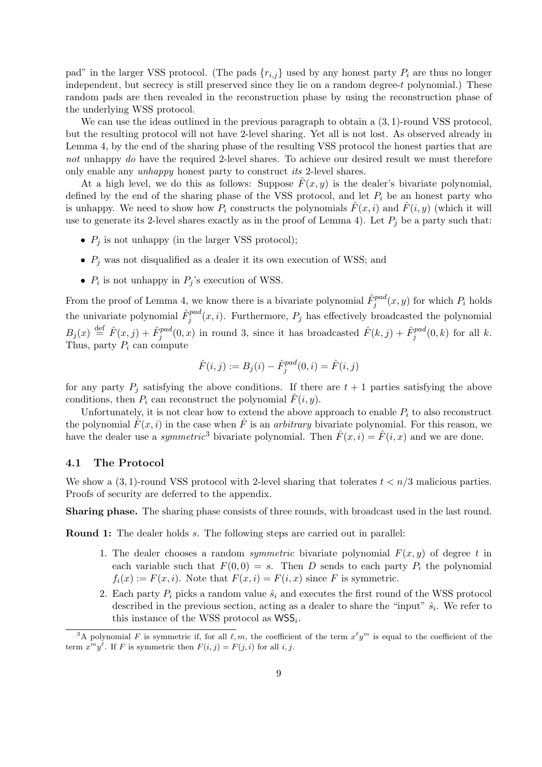pad" in the larger VSS protocol. (The pads  $\{r_{i,j}\}$  used by any honest party  $P_i$  are thus no longer independent, but secrecy is still preserved since they lie on a random degree- $t$  polynomial.) These random pads are then revealed in the reconstruction phase by using the reconstruction phase of the underlying WSS protocol.

We can use the ideas outlined in the previous paragraph to obtain a  $(3,1)$ -round VSS protocol, but the resulting protocol will not have 2-level sharing. Yet all is not lost. As observed already in Lemma 4, by the end of the sharing phase of the resulting VSS protocol the honest parties that are not unhappy do have the required 2-level shares. To achieve our desired result we must therefore only enable any unhappy honest party to construct its 2-level shares.

At a high level, we do this as follows: Suppose  $\hat{F}(x, y)$  is the dealer's bivariate polynomial, defined by the end of the sharing phase of the VSS protocol, and let  $P_i$  be an honest party who is unhappy. We need to show how  $P_i$  constructs the polynomials  $\hat{F}(x, i)$  and  $\hat{F}(i, y)$  (which it will use to generate its 2-level shares exactly as in the proof of Lemma 4). Let  $P_i$  be a party such that:

- $P_j$  is not unhappy (in the larger VSS protocol);
- $P_j$  was not disqualified as a dealer it its own execution of WSS; and
- $P_i$  is not unhappy in  $P_j$ 's execution of WSS.

From the proof of Lemma 4, we know there is a bivariate polynomial  $\hat{F}^{pad}_j(x,y)$  for which  $P_i$  holds the univariate polynomial  $\hat{F}^{pad}_j(x,i)$ . Furthermore,  $P_j$  has effectively broadcasted the polynomial  $B_j(x) \stackrel{\text{def}}{=} \hat{F}(x,j) + \hat{F}_j^{pad}(0,x)$  in round 3, since it has broadcasted  $\hat{F}(k,j) + \hat{F}_j^{pad}(0,k)$  for all k. Thus, party  $P_i$  can compute

$$
\hat{F}(i,j) := B_j(i) - \hat{F}_j^{pad}(0,i) = \hat{F}(i,j)
$$

for any party  $P_i$  satisfying the above conditions. If there are  $t + 1$  parties satisfying the above conditions, then  $P_i$  can reconstruct the polynomial  $\tilde{F}(i, y)$ .

Unfortunately, it is not clear how to extend the above approach to enable  $P_i$  to also reconstruct the polynomial  $\hat{F}(x, i)$  in the case when  $\hat{F}$  is an *arbitrary* bivariate polynomial. For this reason, we have the dealer use a *symmetric*<sup>3</sup> bivariate polynomial. Then  $\hat{F}(x, i) = \hat{F}(i, x)$  and we are done.

#### 4.1 The Protocol

We show a  $(3, 1)$ -round VSS protocol with 2-level sharing that tolerates  $t < n/3$  malicious parties. Proofs of security are deferred to the appendix.

Sharing phase. The sharing phase consists of three rounds, with broadcast used in the last round.

Round 1: The dealer holds s. The following steps are carried out in parallel:

- 1. The dealer chooses a random *symmetric* bivariate polynomial  $F(x, y)$  of degree t in each variable such that  $F(0, 0) = s$ . Then D sends to each party  $P_i$  the polynomial  $f_i(x) := F(x, i)$ . Note that  $F(x, i) = F(i, x)$  since F is symmetric.
- 2. Each party  $P_i$  picks a random value  $\hat{s}_i$  and executes the first round of the WSS protocol described in the previous section, acting as a dealer to share the "input"  $\hat{s}_i$ . We refer to this instance of the WSS protocol as  $WSS_i$ .

<sup>&</sup>lt;sup>3</sup>A polynomial F is symmetric if, for all  $\ell, m$ , the coefficient of the term  $x^{\ell}y^m$  is equal to the coefficient of the term  $x^m y^{\ell}$ . If F is symmetric then  $F(i, j) = F(j, i)$  for all i, j.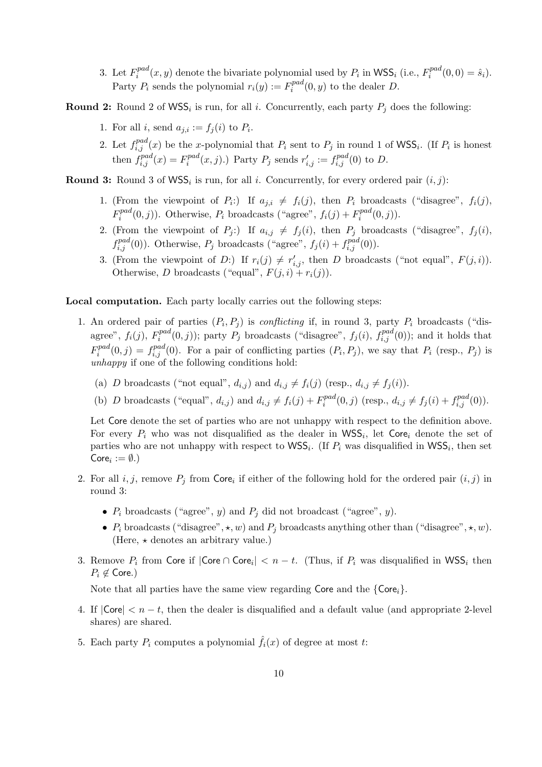- 3. Let  $F_i^{pad}$  $i^{pad}(x, y)$  denote the bivariate polynomial used by  $P_i$  in  $\mathsf{WSS}_i$  (i.e.,  $F^{pad}_i$ )  $i^{pad}(0,0) = \hat{s}_i$ . Party  $P_i$  sends the polynomial  $r_i(y) := F_i^{pad}$  $e_i^{paa}(0, y)$  to the dealer D.
- **Round 2:** Round 2 of  $WSS_i$  is run, for all i. Concurrently, each party  $P_j$  does the following:
	- 1. For all i, send  $a_{j,i} := f_j(i)$  to  $P_i$ .
	- 2. Let  $f_{i,j}^{pad}(x)$  be the x-polynomial that  $P_i$  sent to  $P_j$  in round 1 of WSS<sub>i</sub>. (If  $P_i$  is honest then  $f_{i,j}^{pad}(x) = F_i^{pad}$  $i_i^{pad}(x, j)$ .) Party  $P_j$  sends  $r'_{i,j} := f_{i,j}^{pad}(0)$  to D.
- **Round 3:** Round 3 of  $WSS_i$  is run, for all i. Concurrently, for every ordered pair  $(i, j)$ :
	- 1. (From the viewpoint of  $P_i$ :) If  $a_{j,i} \neq f_i(j)$ , then  $P_i$  broadcasts ("disagree",  $f_i(j)$ ,  $F_i^{pad}$  $i^{pad}(0,j)$ ). Otherwise,  $P_i$  broadcasts ("agree",  $f_i(j) + F_i^{pad}$  $\mathcal{C}_i^{pad}(0,j)).$
	- 2. (From the viewpoint of  $P_j$ :) If  $a_{i,j} \neq f_j(i)$ , then  $P_j$  broadcasts ("disagree",  $f_j(i)$ ,  $f_{i,j}^{pad}(0)$ ). Otherwise,  $P_j$  broadcasts ("agree",  $f_j(i) + f_{i,j}^{pad}(0)$ ).
	- 3. (From the viewpoint of D:) If  $r_i(j) \neq r'_{i,j}$ , then D broadcasts ("not equal",  $F(j,i)$ ). Otherwise, D broadcasts ("equal",  $F(j, i) + r_i(j)$ ).

#### Local computation. Each party locally carries out the following steps:

- 1. An ordered pair of parties  $(P_i, P_j)$  is *conflicting* if, in round 3, party  $P_i$  broadcasts ("disagree",  $f_i(j)$ ,  $F_i^{pad}$  $i_i^{pad}(0,j)$ ; party  $P_j$  broadcasts ("disagree",  $f_j(i)$ ,  $f_{i,j}^{pad}(0)$ ); and it holds that  $F_i^{pad}$  $i<sup>pad</sup>(0,j) = f<sup>pad</sup><sub>i,j</sub>(0)$ . For a pair of conflicting parties  $(P_i, P_j)$ , we say that  $P_i$  (resp.,  $P_j$ ) is unhappy if one of the following conditions hold:
	- (a) D broadcasts ("not equal",  $d_{i,j}$ ) and  $d_{i,j} \neq f_i(j)$  (resp.,  $d_{i,j} \neq f_j(i)$ ).
	- (b) D broadcasts ("equal",  $d_{i,j}$ ) and  $d_{i,j} \neq f_i(j) + F_i^{pad}$  $i_j^{pad}(0, j)$  (resp.,  $d_{i,j} \neq f_j(i) + f_{i,j}^{pad}(0)$ ).

Let Core denote the set of parties who are not unhappy with respect to the definition above. For every  $P_i$  who was not disqualified as the dealer in  $WSS_i$ , let Core<sub>i</sub> denote the set of parties who are not unhappy with respect to  $WSS_i$ . (If  $P_i$  was disqualified in  $WSS_i$ , then set  $\mathsf{Core}_i := \emptyset.$ 

- 2. For all  $i, j$ , remove  $P_j$  from Core<sub>i</sub> if either of the following hold for the ordered pair  $(i, j)$  in round 3:
	- $P_i$  broadcasts ("agree", y) and  $P_j$  did not broadcast ("agree", y).
	- $P_i$  broadcasts ("disagree",  $\star$ , w) and  $P_j$  broadcasts anything other than ("disagree",  $\star$ , w). (Here,  $\star$  denotes an arbitrary value.)
- 3. Remove  $P_i$  from Core if  $|\mathsf{Core} \cap \mathsf{Core}_i| < n-t$ . (Thus, if  $P_i$  was disqualified in WSS<sub>i</sub> then  $P_i \notin \text{Core.}$ )

Note that all parties have the same view regarding Core and the  ${Core<sub>i</sub>}$ .

- 4. If  $|Core| < n-t$ , then the dealer is disqualified and a default value (and appropriate 2-level shares) are shared.
- 5. Each party  $P_i$  computes a polynomial  $\hat{f}_i(x)$  of degree at most t: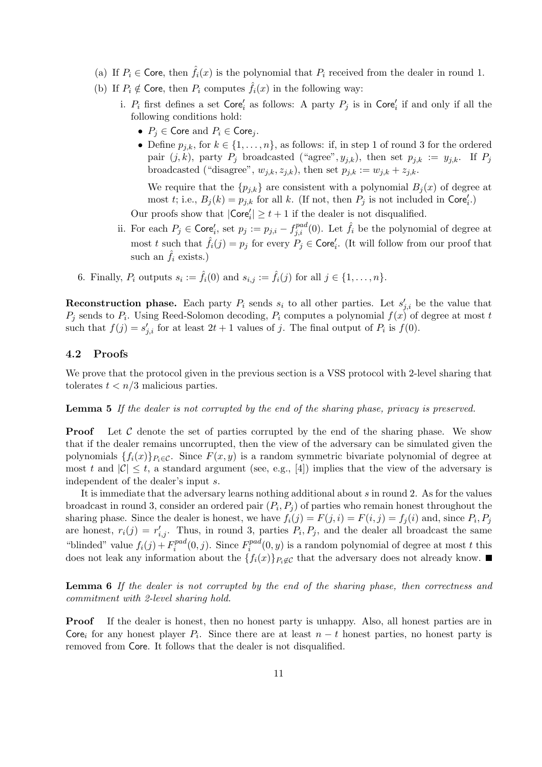- (a) If  $P_i \in \text{Core}$ , then  $\hat{f}_i(x)$  is the polynomial that  $P_i$  received from the dealer in round 1.
- (b) If  $P_i \notin \text{Core}$ , then  $P_i$  computes  $\hat{f}_i(x)$  in the following way:
	- i.  $P_i$  first defines a set Core'<sub>i</sub> as follows: A party  $P_j$  is in Core'<sub>i</sub> if and only if all the following conditions hold:
		- $P_i \in \text{Core}$  and  $P_i \in \text{Core}_i$ .
		- Define  $p_{j,k}$ , for  $k \in \{1, \ldots, n\}$ , as follows: if, in step 1 of round 3 for the ordered pair  $(j, k)$ , party  $P_j$  broadcasted ("agree",  $y_{j,k}$ ), then set  $p_{j,k} := y_{j,k}$ . If  $P_j$ broadcasted ("disagree",  $w_{j,k}, z_{j,k}$ ), then set  $p_{j,k} := w_{j,k} + z_{j,k}$ .

We require that the  $\{p_{i,k}\}\$ are consistent with a polynomial  $B_i(x)$  of degree at most t; i.e.,  $B_j(k) = p_{j,k}$  for all k. (If not, then  $P_j$  is not included in Core<sub>i</sub>.) Our proofs show that  $|\mathsf{Core}'_i| \geq t+1$  if the dealer is not disqualified.

- ii. For each  $P_j \in \text{Core}'_i$ , set  $p_j := p_{j,i} f^{pad}_{j,i}(0)$ . Let  $\hat{f}_i$  be the polynomial of degree at most t such that  $\hat{f}_i(j) = p_j$  for every  $P_j \in \text{Core}'_i$ . (It will follow from our proof that such an  $\hat{f}_i$  exists.)
- 6. Finally,  $P_i$  outputs  $s_i := \hat{f}_i(0)$  and  $s_{i,j} := \hat{f}_i(j)$  for all  $j \in \{1, \ldots, n\}.$

**Reconstruction phase.** Each party  $P_i$  sends  $s_i$  to all other parties. Let  $s'_{j,i}$  be the value that  $P_j$  sends to  $P_i$ . Using Reed-Solomon decoding,  $P_i$  computes a polynomial  $f(x)$  of degree at most t such that  $f(j) = s'_{j,i}$  for at least  $2t + 1$  values of j. The final output of  $P_i$  is  $f(0)$ .

## 4.2 Proofs

We prove that the protocol given in the previous section is a VSS protocol with 2-level sharing that tolerates  $t < n/3$  malicious parties.

Lemma 5 If the dealer is not corrupted by the end of the sharing phase, privacy is preserved.

**Proof** Let C denote the set of parties corrupted by the end of the sharing phase. We show that if the dealer remains uncorrupted, then the view of the adversary can be simulated given the polynomials  $\{f_i(x)\}_{P_i\in\mathcal{C}}$ . Since  $F(x, y)$  is a random symmetric bivariate polynomial of degree at most t and  $|\mathcal{C}| \leq t$ , a standard argument (see, e.g., [4]) implies that the view of the adversary is independent of the dealer's input s.

It is immediate that the adversary learns nothing additional about s in round 2. As for the values broadcast in round 3, consider an ordered pair  $(P_i, P_j)$  of parties who remain honest throughout the sharing phase. Since the dealer is honest, we have  $f_i(j) = F(j, i) = F(i, j) = f_j(i)$  and, since  $P_i, P_j$ are honest,  $r_i(j) = r'_{i,j}$ . Thus, in round 3, parties  $P_i, P_j$ , and the dealer all broadcast the same "blinded" value  $f_i(j) + F_i^{pad}$  $E_i^{pad}(0, j)$ . Since  $F_i^{pad}$  $i^{pad}(0, y)$  is a random polynomial of degree at most t this does not leak any information about the  $\{f_i(x)\}_{P_i \notin \mathcal{C}}$  that the adversary does not already know.

Lemma 6 If the dealer is not corrupted by the end of the sharing phase, then correctness and commitment with 2-level sharing hold.

Proof If the dealer is honest, then no honest party is unhappy. Also, all honest parties are in Core<sub>i</sub> for any honest player  $P_i$ . Since there are at least  $n-t$  honest parties, no honest party is removed from Core. It follows that the dealer is not disqualified.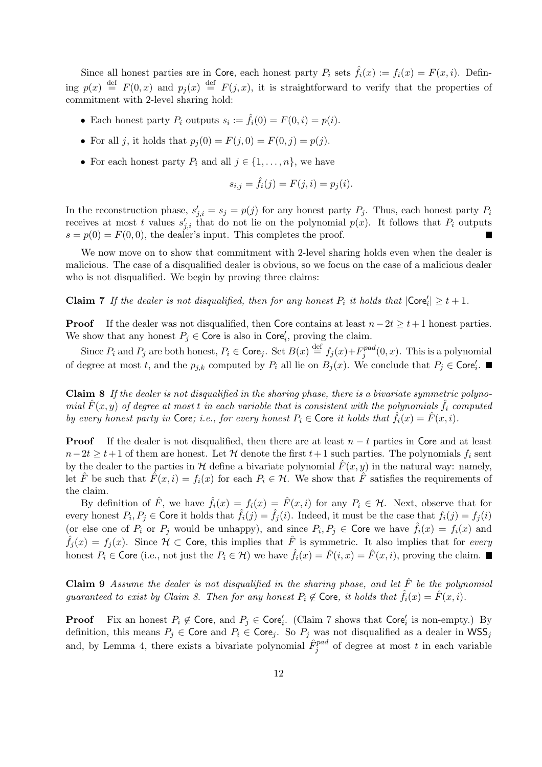Since all honest parties are in Core, each honest party  $P_i$  sets  $\hat{f}_i(x) := f_i(x) = F(x, i)$ . Defining  $p(x) \stackrel{\text{def}}{=} F(0,x)$  and  $p_j(x) \stackrel{\text{def}}{=} F(j,x)$ , it is straightforward to verify that the properties of commitment with 2-level sharing hold:

- Each honest party  $P_i$  outputs  $s_i := \hat{f}_i(0) = F(0, i) = p(i)$ .
- For all j, it holds that  $p_i(0) = F(j, 0) = F(0, j) = p(j)$ .
- For each honest party  $P_i$  and all  $j \in \{1, \ldots, n\}$ , we have

$$
s_{i,j} = \hat{f}_i(j) = F(j,i) = p_j(i).
$$

In the reconstruction phase,  $s'_{j,i} = s_j = p(j)$  for any honest party  $P_j$ . Thus, each honest party  $P_i$ receives at most t values  $s'_{j,i}$  that do not lie on the polynomial  $p(x)$ . It follows that  $P_i$  outputs  $s = p(0) = F(0, 0)$ , the dealer's input. This completes the proof.

We now move on to show that commitment with 2-level sharing holds even when the dealer is malicious. The case of a disqualified dealer is obvious, so we focus on the case of a malicious dealer who is not disqualified. We begin by proving three claims:

**Claim 7** If the dealer is not disqualified, then for any honest  $P_i$  it holds that  $|\text{Core}'_i| \geq t+1$ .

**Proof** If the dealer was not disqualified, then Core contains at least  $n-2t \geq t+1$  honest parties. We show that any honest  $P_j \in \text{Core}$  is also in  $\text{Core}'_i$ , proving the claim.

Since  $P_i$  and  $P_j$  are both honest,  $P_i \in \mathsf{Core}_j$ . Set  $B(x) \stackrel{\text{def}}{=} f_j(x) + F_j^{pad}$  $j^{pa}$  $(0, x)$ . This is a polynomial of degree at most t, and the  $p_{j,k}$  computed by  $P_i$  all lie on  $B_j(x)$ . We conclude that  $P_j \in \mathsf{Core}_i'.$ 

Claim 8 If the dealer is not disqualified in the sharing phase, there is a bivariate symmetric polynomial  $\hat{F}(x, y)$  of degree at most t in each variable that is consistent with the polynomials  $\hat{f}_i$  computed by every honest party in Core; i.e., for every honest  $P_i \in \mathsf{Core}$  it holds that  $\hat{f}_i(x) = \hat{F}(x, i)$ .

**Proof** If the dealer is not disqualified, then there are at least  $n - t$  parties in Core and at least  $n-2t \geq t+1$  of them are honest. Let H denote the first  $t+1$  such parties. The polynomials  $f_i$  sent by the dealer to the parties in H define a bivariate polynomial  $\hat{F}(x, y)$  in the natural way: namely, let  $\hat{F}$  be such that  $\hat{F}(x, i) = f_i(x)$  for each  $P_i \in \mathcal{H}$ . We show that  $\hat{F}$  satisfies the requirements of the claim.

By definition of  $\hat{F}$ , we have  $\hat{f}_i(x) = f_i(x) = \hat{F}(x, i)$  for any  $P_i \in \mathcal{H}$ . Next, observe that for every honest  $P_i, P_j \in \mathsf{Core}$  it holds that  $\hat{f}_i(j) = \hat{f}_j(i)$ . Indeed, it must be the case that  $f_i(j) = f_j(i)$ (or else one of  $P_i$  or  $P_j$  would be unhappy), and since  $P_i, P_j \in \mathsf{Core}$  we have  $\hat{f}_i(x) = f_i(x)$  and  $\tilde{f}_j(x) = f_j(x)$ . Since  $\mathcal{H} \subset \mathsf{Core}$ , this implies that  $\tilde{F}$  is symmetric. It also implies that for every honest  $P_i \in \text{Core}$  (i.e., not just the  $P_i \in \mathcal{H}$ ) we have  $\hat{f}_i(x) = \hat{F}(i, x) = \hat{F}(x, i)$ , proving the claim.

**Claim 9** Assume the dealer is not disqualified in the sharing phase, and let  $\hat{F}$  be the polynomial guaranteed to exist by Claim 8. Then for any honest  $P_i \notin \mathsf{Core},$  it holds that  $\hat{f}_i(x) = \hat{F}(x, i)$ .

**Proof** Fix an honest  $P_i \notin \text{Core}$ , and  $P_j \in \text{Core}'_i$ . (Claim 7 shows that  $\text{Core}'_i$  is non-empty.) By definition, this means  $P_j \in \text{Core}$  and  $P_i \in \text{Core}_j$ . So  $P_j$  was not disqualified as a dealer in  $WSS_j$ and, by Lemma 4, there exists a bivariate polynomial  $\hat{F}^{pad}_{j}$  of degree at most t in each variable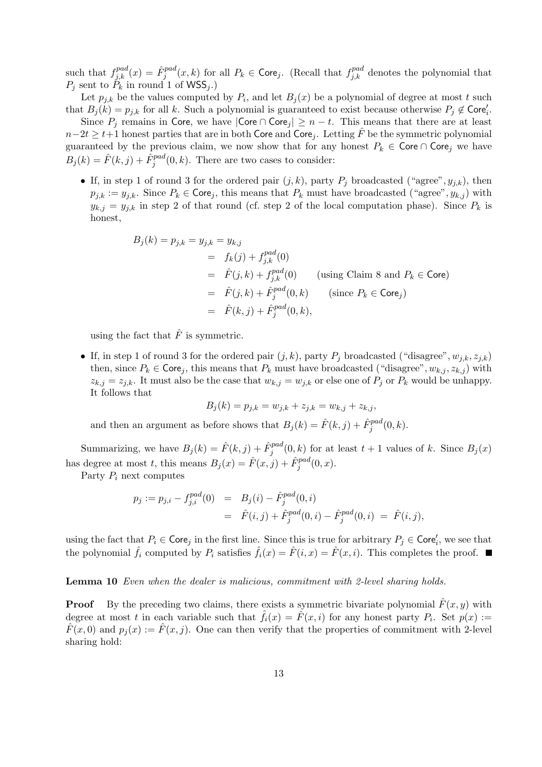such that  $f_{j,k}^{pad}(x) = \hat{F}_j^{pad}(x,k)$  for all  $P_k \in \text{Core}_j$ . (Recall that  $f_{j,k}^{pad}$  denotes the polynomial that  $P_j$  sent to  $P_k$  in round 1 of WSS<sub>j</sub>.)

Let  $p_{j,k}$  be the values computed by  $P_i$ , and let  $B_j(x)$  be a polynomial of degree at most t such that  $B_j(k) = p_{j,k}$  for all k. Such a polynomial is guaranteed to exist because otherwise  $P_j \notin \text{Core}_i'.$ 

Since  $P_j$  remains in Core, we have  $|\text{Core} \cap \text{Core}_j| \geq n-t$ . This means that there are at least  $n-2t \geq t+1$  honest parties that are in both Core and Core<sub>j</sub>. Letting  $\hat{F}$  be the symmetric polynomial guaranteed by the previous claim, we now show that for any honest  $P_k \in \text{Core} \cap \text{Core}_j$  we have  $B_j(k) = \hat{F}(k, j) + \hat{F}_j^{pad}(0, k)$ . There are two cases to consider:

• If, in step 1 of round 3 for the ordered pair  $(j, k)$ , party  $P_j$  broadcasted ("agree",  $y_{j,k}$ ), then  $p_{j,k} := y_{j,k}$ . Since  $P_k \in \text{Core}_j$ , this means that  $P_k$  must have broadcasted ("agree",  $y_{k,j}$ ) with  $y_{k,j} = y_{j,k}$  in step 2 of that round (cf. step 2 of the local computation phase). Since  $P_k$  is honest,

$$
B_j(k) = p_{j,k} = y_{j,k} = y_{k,j}
$$
  
\n
$$
= f_k(j) + f_{j,k}^{pad}(0)
$$
  
\n
$$
= \hat{F}(j,k) + f_{j,k}^{pad}(0) \qquad \text{(using Claim 8 and } P_k \in \text{Core)}
$$
  
\n
$$
= \hat{F}(j,k) + \hat{F}_j^{pad}(0,k) \qquad \text{(since } P_k \in \text{Core}_j)
$$
  
\n
$$
= \hat{F}(k,j) + \hat{F}_j^{pad}(0,k),
$$

using the fact that  $\hat{F}$  is symmetric.

• If, in step 1 of round 3 for the ordered pair  $(j, k)$ , party  $P_i$  broadcasted ("disagree",  $w_{i,k}, z_{i,k}$ ) then, since  $P_k \in \text{Core}_j$ , this means that  $P_k$  must have broadcasted ("disagree",  $w_{k,j}, z_{k,j}$ ) with  $z_{k,j} = z_{j,k}$ . It must also be the case that  $w_{k,j} = w_{j,k}$  or else one of  $P_j$  or  $P_k$  would be unhappy. It follows that

$$
B_j(k) = p_{j,k} = w_{j,k} + z_{j,k} = w_{k,j} + z_{k,j},
$$

and then an argument as before shows that  $B_j(k) = \hat{F}(k, j) + \hat{F}_j^{pad}(0, k)$ .

Summarizing, we have  $B_j(k) = \hat{F}(k, j) + \hat{F}_j^{pad}(0, k)$  for at least  $t + 1$  values of k. Since  $B_j(x)$ has degree at most t, this means  $B_j(x) = \hat{F}(x, j) + \hat{F}_j^{pad}(0, x)$ .

Party  $P_i$  next computes

$$
p_j := p_{j,i} - f_{j,i}^{pad}(0) = B_j(i) - \hat{F}_j^{pad}(0, i)
$$
  
=  $\hat{F}(i, j) + \hat{F}_j^{pad}(0, i) - \hat{F}_j^{pad}(0, i) = \hat{F}(i, j),$ 

using the fact that  $P_i \in \text{Core}_j$  in the first line. Since this is true for arbitrary  $P_j \in \text{Core}'_i$ , we see that the polynomial  $\hat{f}_i$  computed by  $P_i$  satisfies  $\hat{f}_i(x) = \hat{F}(i, x) = \hat{F}(x, i)$ . This completes the proof.

Lemma 10 Even when the dealer is malicious, commitment with 2-level sharing holds.

**Proof** By the preceding two claims, there exists a symmetric bivariate polynomial  $\hat{F}(x, y)$  with degree at most t in each variable such that  $\hat{f}_i(x) = \hat{F}(x, i)$  for any honest party  $P_i$ . Set  $p(x) :=$  $\hat{F}(x,0)$  and  $p_i(x) := \hat{F}(x, j)$ . One can then verify that the properties of commitment with 2-level sharing hold: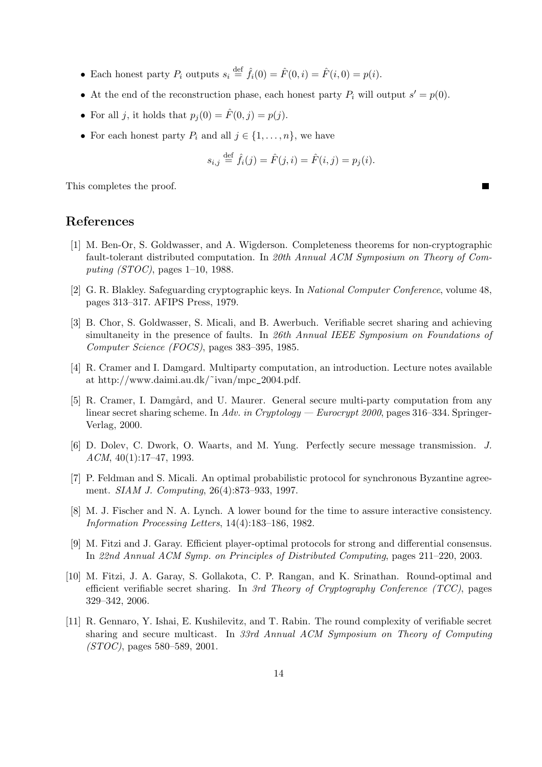- Each honest party  $P_i$  outputs  $s_i \stackrel{\text{def}}{=} \hat{f}_i(0) = \hat{F}(0, i) = \hat{F}(i, 0) = p(i)$ .
- At the end of the reconstruction phase, each honest party  $P_i$  will output  $s' = p(0)$ .
- For all j, it holds that  $p_i(0) = \hat{F}(0, j) = p(j)$ .
- For each honest party  $P_i$  and all  $j \in \{1, \ldots, n\}$ , we have

$$
s_{i,j} \stackrel{\text{def}}{=} \hat{f}_i(j) = \hat{F}(j,i) = \hat{F}(i,j) = p_j(i).
$$

This completes the proof.

## References

- [1] M. Ben-Or, S. Goldwasser, and A. Wigderson. Completeness theorems for non-cryptographic fault-tolerant distributed computation. In 20th Annual ACM Symposium on Theory of Computing (STOC), pages 1–10, 1988.
- [2] G. R. Blakley. Safeguarding cryptographic keys. In National Computer Conference, volume 48, pages 313–317. AFIPS Press, 1979.
- [3] B. Chor, S. Goldwasser, S. Micali, and B. Awerbuch. Verifiable secret sharing and achieving simultaneity in the presence of faults. In 26th Annual IEEE Symposium on Foundations of Computer Science (FOCS), pages 383–395, 1985.
- [4] R. Cramer and I. Damgard. Multiparty computation, an introduction. Lecture notes available at http://www.daimi.au.dk/˜ivan/mpc\_2004.pdf.
- [5] R. Cramer, I. Damgård, and U. Maurer. General secure multi-party computation from any linear secret sharing scheme. In Adv. in Cryptology — Eurocrypt 2000, pages 316–334. Springer-Verlag, 2000.
- [6] D. Dolev, C. Dwork, O. Waarts, and M. Yung. Perfectly secure message transmission. J.  $ACM$ , 40(1):17-47, 1993.
- [7] P. Feldman and S. Micali. An optimal probabilistic protocol for synchronous Byzantine agreement. SIAM J. Computing, 26(4):873–933, 1997.
- [8] M. J. Fischer and N. A. Lynch. A lower bound for the time to assure interactive consistency. Information Processing Letters, 14(4):183–186, 1982.
- [9] M. Fitzi and J. Garay. Efficient player-optimal protocols for strong and differential consensus. In 22nd Annual ACM Symp. on Principles of Distributed Computing, pages 211–220, 2003.
- [10] M. Fitzi, J. A. Garay, S. Gollakota, C. P. Rangan, and K. Srinathan. Round-optimal and efficient verifiable secret sharing. In 3rd Theory of Cryptography Conference (TCC), pages 329–342, 2006.
- [11] R. Gennaro, Y. Ishai, E. Kushilevitz, and T. Rabin. The round complexity of verifiable secret sharing and secure multicast. In 33rd Annual ACM Symposium on Theory of Computing  $(STOC)$ , pages 580–589, 2001.